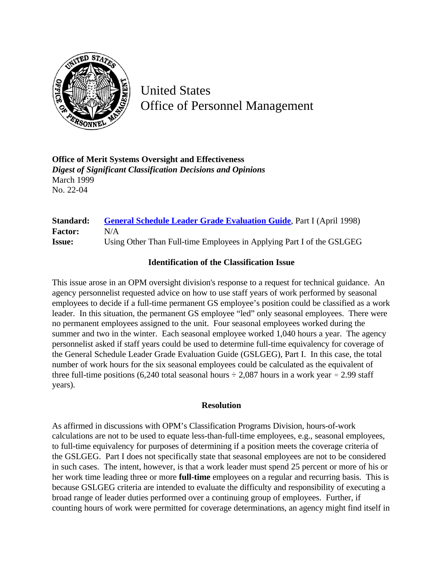

United States Office of Personnel Management

**Office of Merit Systems Oversight and Effectiveness** *Digest of Significant Classification Decisions and Opinions* March 1999 No. 22-04

## **Standard: [General Schedule Leader Grade Evaluation Guide](http://www.opm.gov/hr/fedclass/gslead.pdf)**, Part I (April 1998) **Factor:** N/A **Issue:** Using Other Than Full-time Employees in Applying Part I of the GSLGEG

## **Identification of the Classification Issue**

This issue arose in an OPM oversight division's response to a request for technical guidance. An agency personnelist requested advice on how to use staff years of work performed by seasonal employees to decide if a full-time permanent GS employee's position could be classified as a work leader. In this situation, the permanent GS employee "led" only seasonal employees. There were no permanent employees assigned to the unit. Four seasonal employees worked during the summer and two in the winter. Each seasonal employee worked 1,040 hours a year. The agency personnelist asked if staff years could be used to determine full-time equivalency for coverage of the General Schedule Leader Grade Evaluation Guide (GSLGEG), Part I. In this case, the total number of work hours for the six seasonal employees could be calculated as the equivalent of three full-time positions (6,240 total seasonal hours  $\div$  2,087 hours in a work year = 2.99 staff years).

## **Resolution**

As affirmed in discussions with OPM's Classification Programs Division, hours-of-work calculations are not to be used to equate less-than-full-time employees, e.g., seasonal employees, to full-time equivalency for purposes of determining if a position meets the coverage criteria of the GSLGEG. Part I does not specifically state that seasonal employees are not to be considered in such cases. The intent, however, is that a work leader must spend 25 percent or more of his or her work time leading three or more **full-time** employees on a regular and recurring basis. This is because GSLGEG criteria are intended to evaluate the difficulty and responsibility of executing a broad range of leader duties performed over a continuing group of employees. Further, if counting hours of work were permitted for coverage determinations, an agency might find itself in